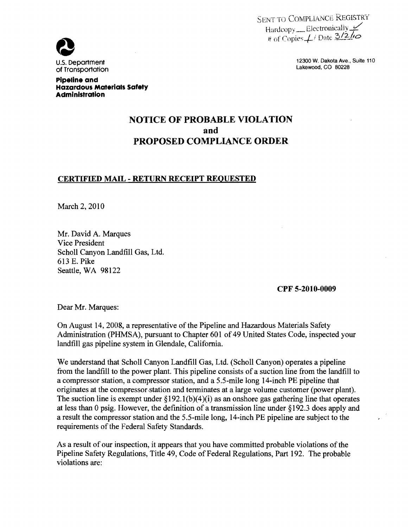SENT TO COMPLIANCE REGISTRY Hardcopy \_\_ Electronically  $\#$  of Copies  $\neq$  Date  $\frac{3}{2}\sqrt{2}$ 



Pipeline and

Administration

Hazardous Materials Safety

U.S. Deportment to the control of the control of the control of the control of the control of the control of the control of the control of the control of the control of the control of the control of the control of the cont

# NOTICE OF PROBABLE VIOLATION and PROPOSED COMPLIANCE ORDER

#### CERTIFIED MAIL - RETURN RECEIPT REQUESTED

March 2, 2010

Mr. David A. Marques Vice President Scholl Canyon Landfill Gas, Ltd. 613 E. Pike Seattle, WA 98122

CPF 5-2010-0009

Dear Mr. Marques:

On August 14, 2008, a representative of the Pipeline and Hazardous Materials Safety Administration (PHMSA), pursuant to Chapter 601 of 49 United States Code, inspected your landfill gas pipeline system in Glendale, California.

We understand that Scholl Canyon Landfill Gas, Ltd. (Scholl Canyon) operates a pipeline from the landfill to the power plant. This pipeline consists of a suction line from the landfill to a compressor station, a compressor station, and a 5.5-mile long 14-inch PE pipeline that originates at the compressor station and terminates at a large volume customer (power plant). The suction line is exempt under  $\S192.1(b)(4)(i)$  as an onshore gas gathering line that operates at less than 0 psig. However, the definition of a transmission line under §192.3 does apply and a result the compressor station and the 5.5-mile long, 14-inch PE pipeline are subject to the requirements of the Federal Safety Standards.

As a result of our inspection, it appears that you have committed probable violations of the Pipeline Safety Regulations, Title 49, Code of Federal Regulations, Part 192. The probable violations are: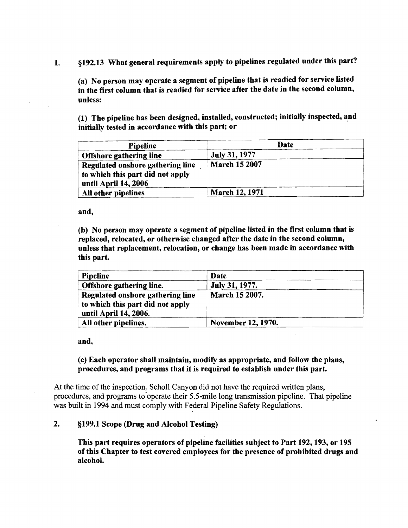1. §192.13 What general requirements apply to pipelines regulated under this part?

(a) No person may operate a segment of pipeline that is readied for service listed in the first column that is readied for service after the date in the second column, unless:

(1) The pipeline has been designed, installed, constructed; initially inspected, and initially tested in accordance with this part; or

| <b>Pipeline</b>                                                                              | Date                 |
|----------------------------------------------------------------------------------------------|----------------------|
| <b>Offshore gathering line</b>                                                               | July 31, 1977        |
| Regulated onshore gathering line<br>to which this part did not apply<br>until April 14, 2006 | <b>March 15 2007</b> |
| All other pipelines                                                                          | March 12, 1971       |

and,

(b) No person may operate a segment of pipeline listed in the first column that is replaced, relocated, or otherwise changed after the date in the second column, unless that replacement, relocation, or change has been made in accordance with this part.

| <b>Pipeline</b>                                                                               | Date                  |
|-----------------------------------------------------------------------------------------------|-----------------------|
| Offshore gathering line.                                                                      | <b>July 31, 1977.</b> |
| Regulated onshore gathering line<br>to which this part did not apply<br>until April 14, 2006. | March 15 2007.        |
| All other pipelines.                                                                          | November 12, 1970.    |

and,

#### (c) Each operator shall maintain, modify as appropriate, and follow the plans, procedures, and programs that it is required to establish under this part.

At the time of the inspection, Scholl Canyon did not have the required written plans, procedures, and programs to operate their 5.5-mile long transmission pipeline. That pipeline was built in 1994 and must comply.with Federal Pipeline Safety Regulations.

#### 2. §199.1 Scope (Drug and Alcohol Testing)

This part requires operators of pipeline facilities subject to Part 192, 193, or 195 of this Chapter to test covered employees for the presence of prohibited drugs and alcohol.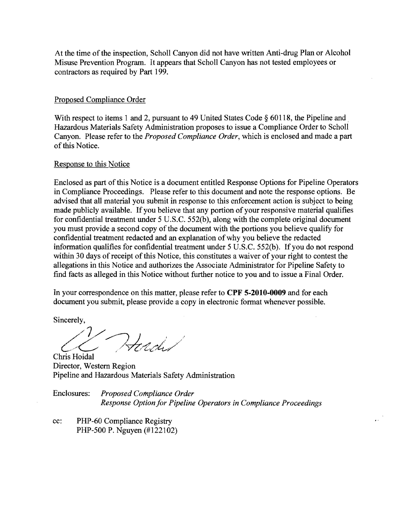At the time of the inspection, Scholl Canyon did not have written Anti-drug Plan or Alcohol Misuse Prevention Program. It appears that Scholl Canyon has not tested employees or contractors as required by Part 199.

#### Proposed Compliance Order

With respect to items 1 and 2, pursuant to 49 United States Code  $\S$  60118, the Pipeline and. Hazardous Materials Safety Administration proposes to issue a Compliance Order to Scholl Canyon. Please refer to the *Proposed Compliance Order,* which is enclosed and made a part of this Notice.

#### Response to this Notice

Enclosed as part of this Notice is a document entitled Response Options for Pipeline Operators in Compliance Proceedings. Please refer to this document and note the response options. Be advised that all material you submit in response to this enforcement action is subject to being made publicly available. If you believe that any portion of your responsive material qualifies for confidential treatment under 5 U.S.C. 552(b), along with the complete original document you must provide a second copy of the document with the portions you believe qualify for confidential treatment redacted and an explanation of why you believe the redacted information qualifies for confidential treatment under 5 U.S.C. 552(b). If you do not respond within 30 days of receipt of this Notice, this constitutes a waiver of your right to contest the allegations in this Notice and authorizes the Associate Administrator for Pipeline Safety to find facts as alleged in this Notice without further notice to you and to issue a Final Order.

In your correspondence on this matter, please refer to **CPF 5-2010-0009** and for each document you submit, please provide a copy in electronic format whenever possible.

Sincerely,

Chris Hoidal Heredi

Director, Western Region Pipeline and Hazardous Materials Safety Administration

Enclosures: *Proposed Compliance Order Response Option for Pipeline Operators in Compliance Proceedings* 

cc: PHP-60 Compliance Registry PHP-500 P. Nguyen (#122102)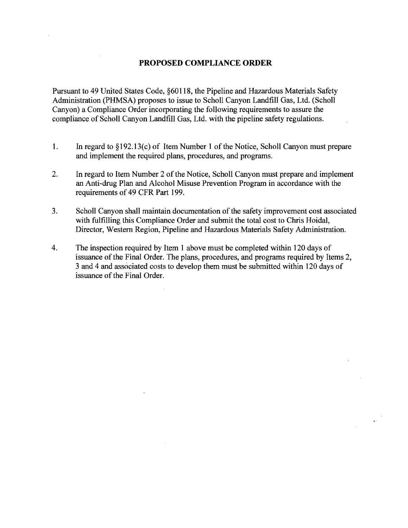#### **PROPOSED COMPLIANCE ORDER**

Pursuant to 49 United States Code, §60118, the Pipeline and Hazardous Materials Safety Administration (PHMSA) proposes to issue to Scholl Canyon Landfill Gas, Ltd. (Scholl Canyon) a Compliance Order incorporating the following requirements to assure the compliance of Scholl Canyon Landfill Gas, Ltd. with the pipeline safety regulations.

- 1. In regard to §192.13(c) of Item Number 1 of the Notice, Scholl Canyon must prepare and implement the required plans, procedures, and programs.
- 2. In regard to Item Number 2 of the Notice, Scholl Canyon must prepare and implement an Anti-drug Plan and Alcohol Misuse Prevention Program in accordance with the requirements of 49 CFR Part 199.
- 3. Scholl Canyon shall maintain documentation of the safety improvement cost associated with fulfilling this Compliance Order and submit the total cost to Chris Hoidal, Director, Western Region, Pipeline and Hazardous Materials Safety Administration.
- 4. The inspection required by Item 1 above must be completed within 120 days of issuance of the Final Order. The plans, procedures, and programs required by Items 2, 3 and 4 and associated costs to develop them must be submitted within 120 days of issuance of the Final Order.

 $\sim$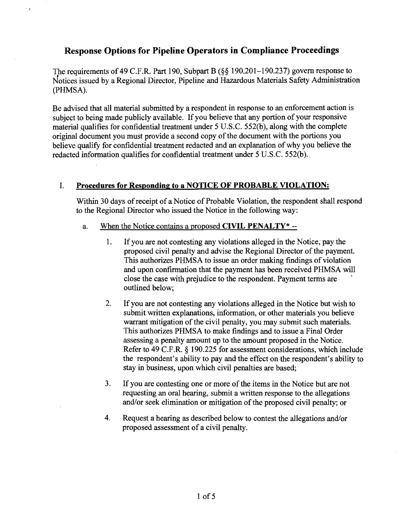## **Response Options for Pipeline Operators in Compliance Proceedings**

The requirements of49 C.F.R. Part 190, Subpart B (§§ 190.201-190.237) govern response to Notices issued by a Regional Director, Pipeline and Hazardous Materials Safety Administration (PHMSA).

Be advised that all material submitted by a respondent in response to an enforcement action is subject to being made publicly available. If you believe that any portion of your responsive material qualifies for confidential treatment under 5 V.S.C. 552(b), along with the complete original document you must provide a second copy of the document with the portions you believe qualify for confidential treatment redacted and an explanation of why you believe the redacted information qualifies for confidential treatment under 5 V.S.C. 552(b).

## 1. **Procedures for Responding to a NOTICE OF PROBABLE VIOLATION:**

Within 30 days of receipt of a Notice of Probable Violation, the respondent shall respond to the Regional Director who issued the Notice in the following way:

- a. When the Notice contains a proposed **CIVIL PENALTY**\* --
	- 1. If you are not contesting any violations alleged in the Notice, pay the proposed civil penalty and advise the Regional Director of the payment. This authorizes PHMSA to issue an order making findings of violation and upon confirmation that the payment has been received PHMSA will close the case with prejudice to the respondent. Payment terms are outlined below;
	- 2. Ifyou are not contesting any violations alleged in the Notice but wish to submit written explanations, information, or other materials you believe warrant mitigation of the civil penalty, you may submit such materials. This authorizes PHMSA to make findings and to issue a Final Order assessing a penalty amount up to the amount proposed in the Notice. Refer to 49 C.F.R. § 190.225 for assessment considerations, which include the respondent's ability to pay and the effect on the respondent's ability to stay in business, upon which civil penalties are based;
	- 3. If you are contesting one or more of the items in the Notice but are not requesting an oral hearing, submit a written response to the allegations and/or seek elimination or mitigation of the proposed civil penalty; or
	- 4. Request a hearing as described below to contest the allegations and/or proposed assessment of a civil penalty.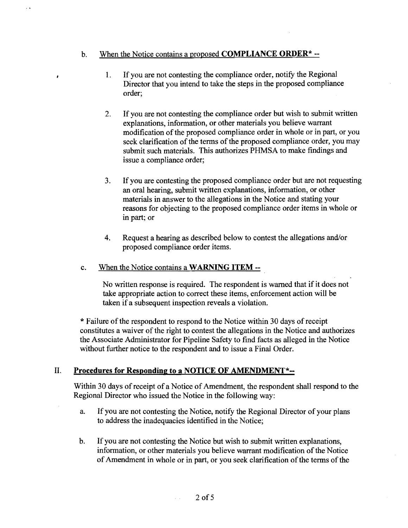#### b. When the Notice contains a proposed **COMPLIANCE ORDER**<sup>\*</sup>  $-$ </sup>

 $\lambda$ 

- 1. If you are not contesting the compliance order, notify the Regional Director that you intend to take the steps in the proposed compliance order;
- 2. If you are not contesting the compliance order but wish to submit written explanations, information, or other materials you believe warrant modification of the proposed compliance order in whole or in part, or you seek clarification of the terms of the proposed compliance order, you may submit such materials. This authorizes PHMSA to make findings and issue a compliance order;
- 3. If you are contesting the proposed compliance order but are not requesting an oral hearing, submit written explanations, information, or other materials in answer to the allegations in the Notice and stating your reasons for objecting to the proposed compliance order items in whole or in part; or
- 4. Request a hearing as described below to contest the allegations and/or proposed compliance order items.

#### c. When the Notice contains a WARNING ITEM --

No written response is required. The respondent is warned that if it does not take appropriate action to correct these items, enforcement action will be taken if a subsequent inspection reveals a violation.

\* Failure of the respondent to respond to the Notice within 30 days of receipt constitutes a waiver of the right to contest the allegations in the Notice and authorizes the Associate Administrator for Pipeline Safety to find facts as alleged in the Notice without further notice to the respondent and to issue a Final Order.

## II. Procedures for Responding to a NOTICE OF AMENDMENT\*--

Within 30 days of receipt of a Notice of Amendment, the respondent shall respond to the Regional Director who issued the Notice in the following way:

- a. If you are not contesting the Notice, notify the Regional Director of your plans to address the inadequacies identified in the Notice;
- b. If you are not contesting the Notice but wish to submit written explanations, information, or other materials you believe warrant modification of the Notice of Amendment in whole or in part, or you seek clarification of the terms of the

 $\sim$   $\sim$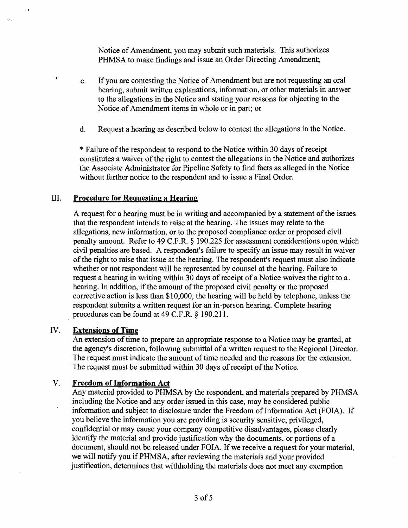Notice of Amendment, you may submit such materials. This authorizes PHMSA to make findings and issue an Order Directing Amendment;

- c. If you are contesting the Notice of Amendment but are not requesting an oral hearing, submit written explanations, information, or other materials in answer to the allegations in the Notice and stating your reasons for objecting to the Notice of Amendment items in whole or in part; or
- d. Request a hearing as described below to contest the allegations in the Notice.

\* Failure of the respondent to respond to the Notice within 30 days of receipt constitutes a waiver of the right to contest the allegations in the Notice and authorizes the Associate Administrator for Pipeline Safety to find facts as alleged in the Notice without further notice to the respondent and to issue a Final Order.

#### III. **Procedure for Requesting a Hearing**

A request for a hearing must be in writing and accompanied by a statement of the issues that the respondent intends to raise at the hearing. The issues may relate to the allegations, new information, or to the proposed compliance order or proposed civil penalty amount. Refer to 49 C.F.R. § 190.225 for assessment considerations upon which civil penalties are based. A respondent's failure to specify an issue may result in waiver ofthe right to raise that issue at the hearing. The respondent's request must also indicate whether or not respondent will be represented by counsel at the hearing. Failure to request a hearing in writing within 30 days of receipt of a Notice waives the right to a. hearing. In addition, if the amount of the proposed civil penalty or the proposed corrective action is less than \$10,000, the hearing will be held by telephone, unless the respondent submits a written request for an in-person hearing. Complete hearing procedures can be found at 49 C.F.R. § 190.211.

#### IV. **Extensions of Time**

 $\cdot$  ,

 $\ddot{\phantom{1}}$ 

 $\cdot$ 

An extension of time to prepare an appropriate response to a Notice may be granted, at the agency's discretion, following submittal of a written request to the Regional Director. The request must indicate the amount of time needed and the reasons for the extension. The request must be submitted within 30 days of receipt of the Notice.

## **V.** Freedom of Information Act

Any material provided to PHMSA by the respondent, and materials prepared by PHMSA including the Notice and any order issued in this case, may be considered public information and subject to disclosure under the Freedom of Information Act (FOIA). If you believe the information you are providing is security sensitive, privileged, confidential or may cause your company competitive disadvantages, please clearly identify the material and provide justification why the documents, or portions of a document, should not be released under FOIA. If we receive a request for your material, we will notify you ifPHMSA, after reviewing the materials and your provided justification, determines that withholding the materials does not meet any exemption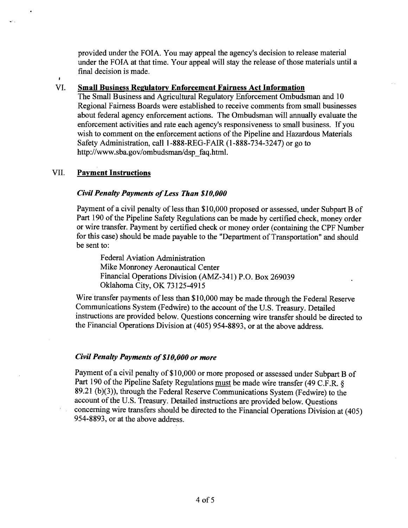provided under the FOIA. You may appeal the agency's decision to release material under the FOIA at that time. Your appeal will stay the release of those materials until a final decision is made.

#### VI. Small Business Regulatory Enforcement Fairness Act Information

The Small Business and Agricultural Regulatory Enforcement Ombudsman and 10 Regional Fairness Boards were established to receive comments from small businesses about federal agency enforcement actions. The Ombudsman will annually evaluate the enforcement activities and rate each agency's responsiveness to small business. If you wish to comment on the enforcement actions of the Pipeline and Hazardous Materials Safety Administration, call 1-888-REG-FAIR (1-888-734-3247) or go to http://www.sba.gov/ombudsman/dsp\_faq.html.

#### VII. Payment Instructions

#### *Civil Penalty Payments ofLess Than \$10,000*

Payment of a civil penalty of less than \$10,000 proposed or assessed, under Subpart B of Part 190 of the Pipeline Safety Regulations can be made by certified check, money order or wire transfer. Payment by certified check or money order (containing the CPF Number for this case) should be made payable to the "Department of Transportation" and should be sent to:

Federal Aviation Administration Mike Monroney Aeronautical Center Financial Operations Division (AMZ-341) P.O. Box 269039 Oklahoma City, OK 73125-4915

Wire transfer payments of less than \$10,000 may be made through the Federal Reserve Communications System (Fedwire) to the account of the U.S. Treasury. Detailed instructions are provided below. Questions concerning wire transfer should be directed to the Financial Operations Division at (405) 954-8893, or at the above address.

#### *Civil Penalty Payments of*\$1*0,000 or more*

Payment of a civil penalty of \$10,000 or more proposed or assessed under Subpart B of Part 190 of the Pipeline Safety Regulations must be made wire transfer (49 C.F.R. § 89.21 (b)(3)), through the Federal Reserve Communications System (Fedwire) to the account of the U.S. Treasury. Detailed instructions are provided below. Questions concerning wire transfers should be directed to the Financial Operations Division at (405) 954-8893, or at the above address.